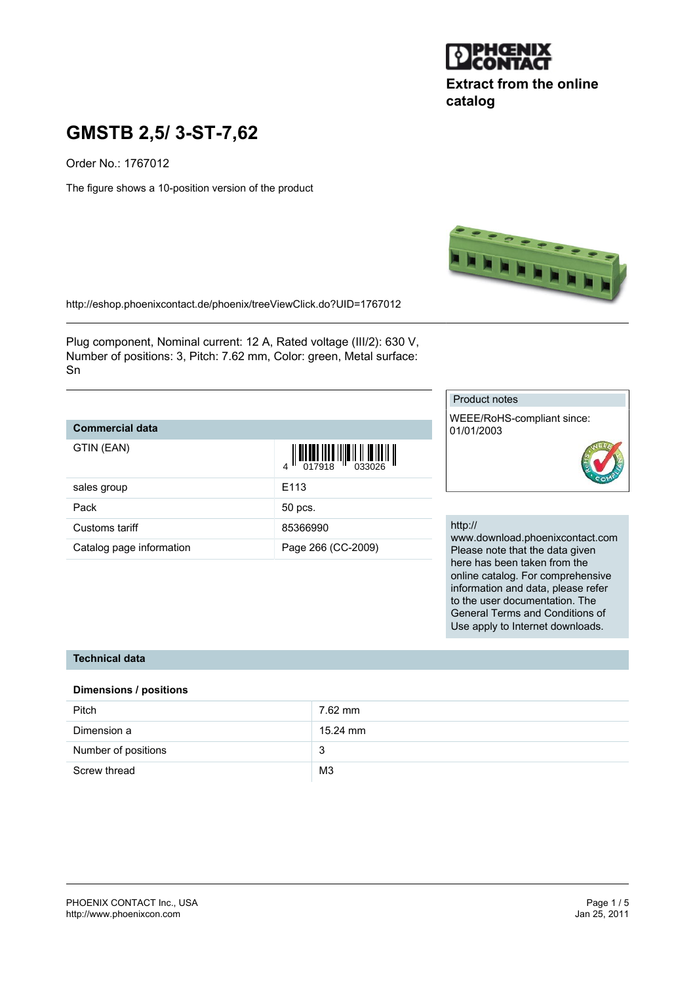

## **Extract from the online catalog**

# **GMSTB 2,5/ 3-ST-7,62**

Order No.: 1767012

The figure shows a 10-position version of the product



<http://eshop.phoenixcontact.de/phoenix/treeViewClick.do?UID=1767012>

Plug component, Nominal current: 12 A, Rated voltage (III/2): 630 V, Number of positions: 3, Pitch: 7.62 mm, Color: green, Metal surface: Sn

## **Commercial data**

| GTIN (EAN)               |                    |
|--------------------------|--------------------|
| sales group              | F <sub>113</sub>   |
| Pack                     | 50 pcs.            |
| Customs tariff           | 85366990           |
| Catalog page information | Page 266 (CC-2009) |

#### Product notes

WEEE/RoHS-compliant since: 01/01/2003



#### http://

www.download.phoenixcontact.com Please note that the data given here has been taken from the online catalog. For comprehensive information and data, please refer to the user documentation. The General Terms and Conditions of Use apply to Internet downloads.

#### **Technical data**

#### **Dimensions / positions**

| Pitch               | 7.62 mm        |
|---------------------|----------------|
| Dimension a         | 15.24 mm       |
| Number of positions | 3              |
| Screw thread        | M <sub>3</sub> |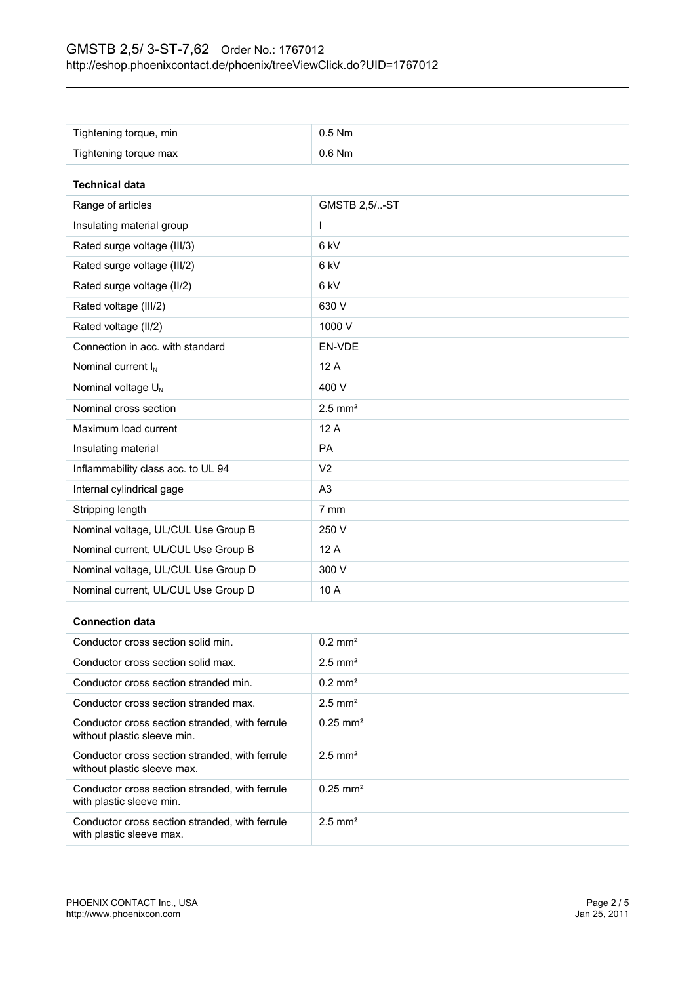| Tightening torque, min              | $0.5$ Nm              |
|-------------------------------------|-----------------------|
| Tightening torque max               | 0.6 Nm                |
|                                     |                       |
| <b>Technical data</b>               |                       |
| Range of articles                   | <b>GMSTB 2,5/-ST</b>  |
| Insulating material group           | L                     |
| Rated surge voltage (III/3)         | 6 kV                  |
| Rated surge voltage (III/2)         | 6 kV                  |
| Rated surge voltage (II/2)          | 6 kV                  |
| Rated voltage (III/2)               | 630 V                 |
| Rated voltage (II/2)                | 1000 V                |
| Connection in acc. with standard    | EN-VDE                |
| Nominal current I <sub>N</sub>      | 12 A                  |
| Nominal voltage U <sub>N</sub>      | 400 V                 |
| Nominal cross section               | $2.5$ mm <sup>2</sup> |
| Maximum load current                | 12A                   |
| Insulating material                 | PA                    |
| Inflammability class acc. to UL 94  | V <sub>2</sub>        |
| Internal cylindrical gage           | A <sub>3</sub>        |
| Stripping length                    | 7 mm                  |
| Nominal voltage, UL/CUL Use Group B | 250 V                 |
| Nominal current, UL/CUL Use Group B | 12 A                  |
| Nominal voltage, UL/CUL Use Group D | 300 V                 |
| Nominal current, UL/CUL Use Group D | 10 A                  |

## **Connection data**

| Conductor cross section solid min.                                            | $0.2$ mm <sup>2</sup>  |
|-------------------------------------------------------------------------------|------------------------|
| Conductor cross section solid max.                                            | $2.5$ mm <sup>2</sup>  |
| Conductor cross section stranded min.                                         | $0.2$ mm <sup>2</sup>  |
| Conductor cross section stranded max.                                         | $2.5$ mm <sup>2</sup>  |
| Conductor cross section stranded, with ferrule<br>without plastic sleeve min. | $0.25$ mm <sup>2</sup> |
| Conductor cross section stranded, with ferrule<br>without plastic sleeve max. | $2.5$ mm <sup>2</sup>  |
| Conductor cross section stranded, with ferrule<br>with plastic sleeve min.    | $0.25$ mm <sup>2</sup> |
| Conductor cross section stranded, with ferrule<br>with plastic sleeve max.    | $2.5$ mm <sup>2</sup>  |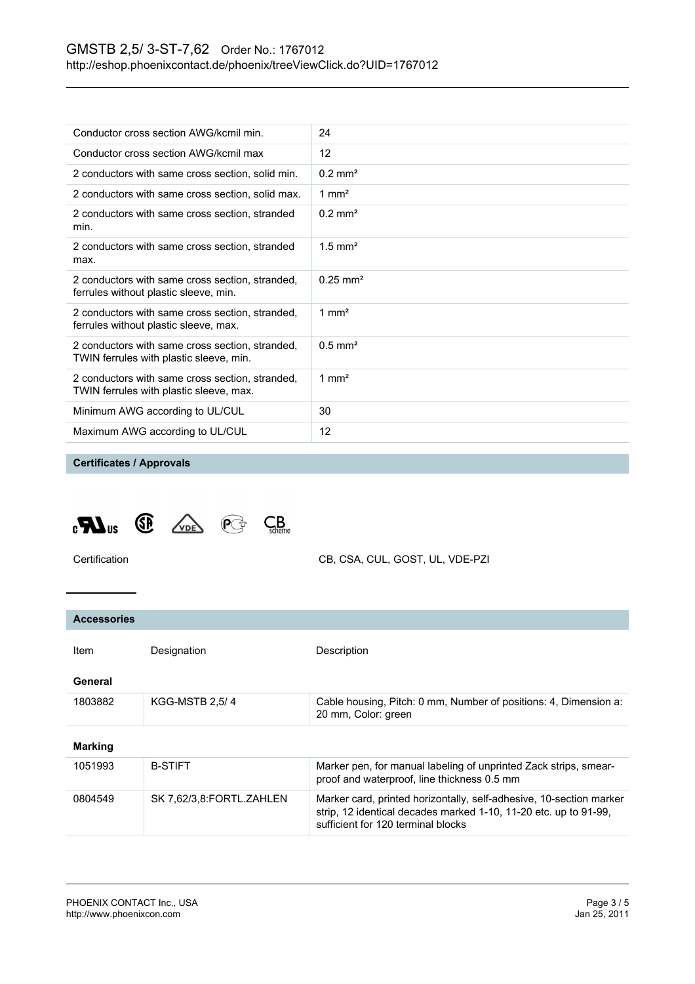| Conductor cross section AWG/kcmil min.                                                     | 24                    |
|--------------------------------------------------------------------------------------------|-----------------------|
| Conductor cross section AWG/kcmil max                                                      | 12                    |
| 2 conductors with same cross section, solid min.                                           | $0.2 \text{ mm}^2$    |
| 2 conductors with same cross section, solid max.                                           | 1 mm <sup>2</sup>     |
| 2 conductors with same cross section, stranded<br>min.                                     | $0.2$ mm <sup>2</sup> |
| 2 conductors with same cross section, stranded<br>max.                                     | $1.5$ mm <sup>2</sup> |
| 2 conductors with same cross section, stranded,<br>ferrules without plastic sleeve, min.   | $0.25 \text{ mm}^2$   |
| 2 conductors with same cross section, stranded,<br>ferrules without plastic sleeve, max.   | $1 \text{ mm}^2$      |
| 2 conductors with same cross section, stranded,<br>TWIN ferrules with plastic sleeve, min. | $0.5$ mm <sup>2</sup> |
| 2 conductors with same cross section, stranded,<br>TWIN ferrules with plastic sleeve, max. | 1 mm <sup>2</sup>     |
| Minimum AWG according to UL/CUL                                                            | 30                    |
| Maximum AWG according to UL/CUL                                                            | 12                    |
|                                                                                            |                       |

## **Certificates / Approvals**



Certification CB, CSA, CUL, GOST, UL, VDE-PZI

| <b>Accessories</b> |                          |                                                                                                                                                                               |
|--------------------|--------------------------|-------------------------------------------------------------------------------------------------------------------------------------------------------------------------------|
| <b>Item</b>        | Designation              | Description                                                                                                                                                                   |
| General            |                          |                                                                                                                                                                               |
| 1803882            | <b>KGG-MSTB 2.5/4</b>    | Cable housing, Pitch: 0 mm, Number of positions: 4, Dimension a:<br>20 mm, Color: green                                                                                       |
| <b>Marking</b>     |                          |                                                                                                                                                                               |
| 1051993            | <b>B-STIFT</b>           | Marker pen, for manual labeling of unprinted Zack strips, smear-<br>proof and waterproof, line thickness 0.5 mm                                                               |
| 0804549            | SK 7,62/3,8:FORTL.ZAHLEN | Marker card, printed horizontally, self-adhesive, 10-section marker<br>strip, 12 identical decades marked 1-10, 11-20 etc. up to 91-99.<br>sufficient for 120 terminal blocks |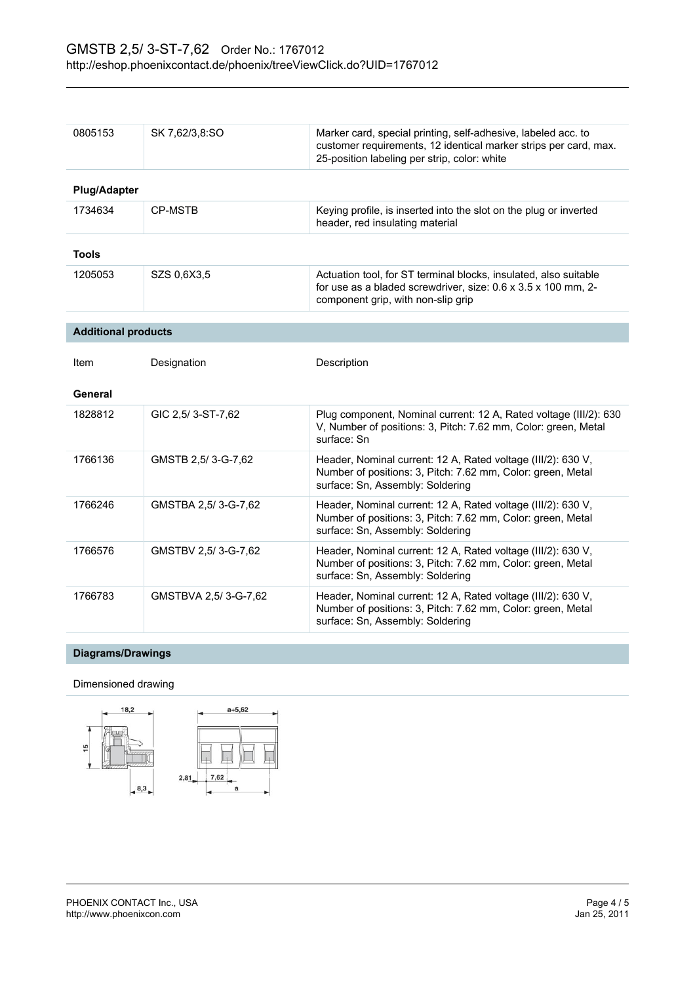| 0805153                    | SK 7,62/3,8:SO       | Marker card, special printing, self-adhesive, labeled acc. to<br>customer requirements, 12 identical marker strips per card, max.<br>25-position labeling per strip, color: white |
|----------------------------|----------------------|-----------------------------------------------------------------------------------------------------------------------------------------------------------------------------------|
| <b>Plug/Adapter</b>        |                      |                                                                                                                                                                                   |
| 1734634                    | <b>CP-MSTB</b>       | Keying profile, is inserted into the slot on the plug or inverted<br>header, red insulating material                                                                              |
| <b>Tools</b>               |                      |                                                                                                                                                                                   |
| 1205053                    | SZS 0,6X3,5          | Actuation tool, for ST terminal blocks, insulated, also suitable<br>for use as a bladed screwdriver, size: 0.6 x 3.5 x 100 mm, 2-<br>component grip, with non-slip grip           |
| <b>Additional products</b> |                      |                                                                                                                                                                                   |
| Item                       | Designation          | Description                                                                                                                                                                       |
| General                    |                      |                                                                                                                                                                                   |
| 1828812                    | GIC 2.5/3-ST-7.62    | Plug component, Nominal current: 12 A, Rated voltage (III/2): 630<br>V, Number of positions: 3, Pitch: 7.62 mm, Color: green, Metal<br>surface: Sn                                |
| 1766136                    | GMSTB 2,5/3-G-7,62   | Header, Nominal current: 12 A, Rated voltage (III/2): 630 V,<br>Number of positions: 3, Pitch: 7.62 mm, Color: green, Metal<br>surface: Sn, Assembly: Soldering                   |
| 1766246                    | GMSTBA 2,5/3-G-7,62  | Header, Nominal current: 12 A, Rated voltage (III/2): 630 V,<br>Number of positions: 3, Pitch: 7.62 mm, Color: green, Metal<br>surface: Sn, Assembly: Soldering                   |
| 1766576                    | GMSTBV 2,5/3-G-7,62  | Header, Nominal current: 12 A, Rated voltage (III/2): 630 V,<br>Number of positions: 3, Pitch: 7.62 mm, Color: green, Metal<br>surface: Sn, Assembly: Soldering                   |
| 1766783                    | GMSTBVA 2,5/3-G-7,62 | Header, Nominal current: 12 A, Rated voltage (III/2): 630 V,<br>Number of positions: 3, Pitch: 7.62 mm, Color: green, Metal<br>surface: Sn, Assembly: Soldering                   |

## **Diagrams/Drawings**

#### Dimensioned drawing